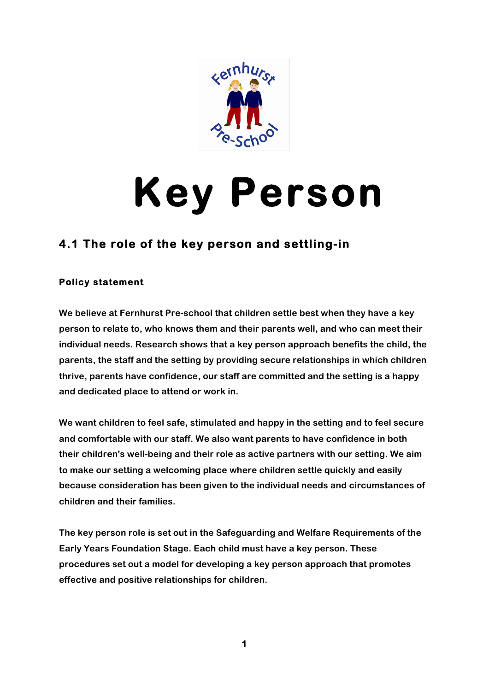

# **Key Person**

# **4.1 The role of the key person and settling-in**

### **Policy statement**

**We believe at Fernhurst Pre-school that children settle best when they have a key person to relate to, who knows them and their parents well, and who can meet their individual needs. Research shows that a key person approach benefits the child, the parents, the staff and the setting by providing secure relationships in which children thrive, parents have confidence, our staff are committed and the setting is a happy and dedicated place to attend or work in.**

**We want children to feel safe, stimulated and happy in the setting and to feel secure and comfortable with our staff. We also want parents to have confidence in both their children's well-being and their role as active partners with our setting. We aim to make our setting a welcoming place where children settle quickly and easily because consideration has been given to the individual needs and circumstances of children and their families.**

**The key person role is set out in the Safeguarding and Welfare Requirements of the Early Years Foundation Stage. Each child must have a key person. These procedures set out a model for developing a key person approach that promotes effective and positive relationships for children.**

**1**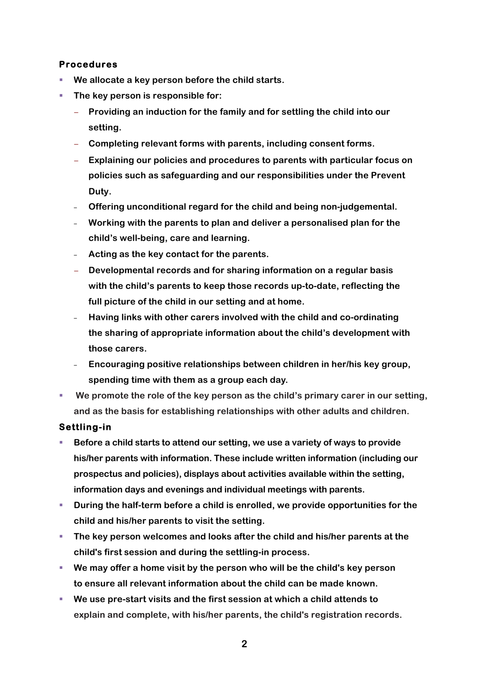### **Procedures**

- We allocate a key person before the child starts.
- § **The key person is responsible for:**
	- − **Providing an induction for the family and for settling the child into our setting.**
	- − **Completing relevant forms with parents, including consent forms.**
	- − **Explaining our policies and procedures to parents with particular focus on policies such as safeguarding and our responsibilities under the Prevent Duty.**
	- ‒ **Offering unconditional regard for the child and being non-judgemental.**
	- ‒ **Working with the parents to plan and deliver a personalised plan for the child's well-being, care and learning.**
	- ‒ **Acting as the key contact for the parents.**
	- − **Developmental records and for sharing information on a regular basis with the child's parents to keep those records up-to-date, reflecting the full picture of the child in our setting and at home.**
	- ‒ **Having links with other carers involved with the child and co-ordinating the sharing of appropriate information about the child's development with those carers.**
	- ‒ **Encouraging positive relationships between children in her/his key group, spending time with them as a group each day.**
- § **We promote the role of the key person as the child's primary carer in our setting, and as the basis for establishing relationships with other adults and children.**

## **Settling-in**

- § **Before a child starts to attend our setting, we use a variety of ways to provide his/her parents with information. These include written information (including our prospectus and policies), displays about activities available within the setting, information days and evenings and individual meetings with parents.**
- § **During the half-term before a child is enrolled, we provide opportunities for the child and his/her parents to visit the setting.**
- § **The key person welcomes and looks after the child and his/her parents at the child's first session and during the settling-in process.**
- § **We may offer a home visit by the person who will be the child's key person to ensure all relevant information about the child can be made known.**
- § **We use pre-start visits and the first session at which a child attends to explain and complete, with his/her parents, the child's registration records.**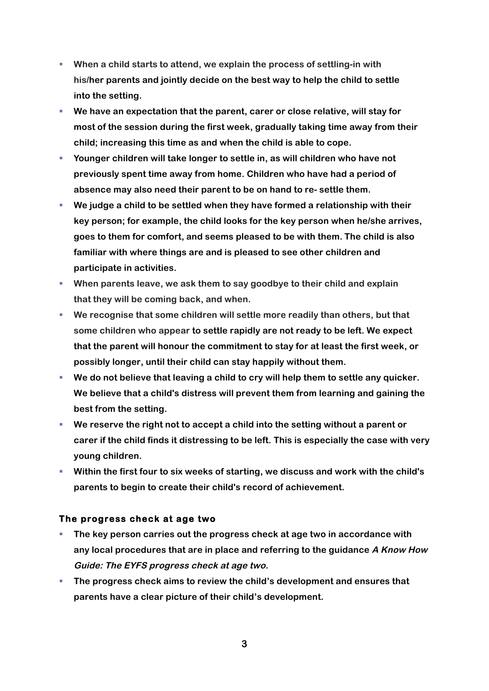- § **When a child starts to attend, we explain the process of settling-in with his/her parents and jointly decide on the best way to help the child to settle into the setting.**
- § **We have an expectation that the parent, carer or close relative, will stay for most of the session during the first week, gradually taking time away from their child; increasing this time as and when the child is able to cope.**
- § **Younger children will take longer to settle in, as will children who have not previously spent time away from home. Children who have had a period of absence may also need their parent to be on hand to re- settle them.**
- § **We judge a child to be settled when they have formed a relationship with their key person; for example, the child looks for the key person when he/she arrives, goes to them for comfort, and seems pleased to be with them. The child is also familiar with where things are and is pleased to see other children and participate in activities.**
- § **When parents leave, we ask them to say goodbye to their child and explain that they will be coming back, and when.**
- § **We recognise that some children will settle more readily than others, but that some children who appear to settle rapidly are not ready to be left. We expect that the parent will honour the commitment to stay for at least the first week, or possibly longer, until their child can stay happily without them.**
- We do not believe that leaving a child to cry will help them to settle any quicker. **We believe that a child's distress will prevent them from learning and gaining the best from the setting.**
- We reserve the right not to accept a child into the setting without a parent or **carer if the child finds it distressing to be left. This is especially the case with very young children.**
- § **Within the first four to six weeks of starting, we discuss and work with the child's parents to begin to create their child's record of achievement.**

#### **The progress check at age two**

- § **The key person carries out the progress check at age two in accordance with any local procedures that are in place and referring to the guidance A Know How Guide: The EYFS progress check at age two.**
- The progress check aims to review the child's development and ensures that **parents have a clear picture of their child's development.**